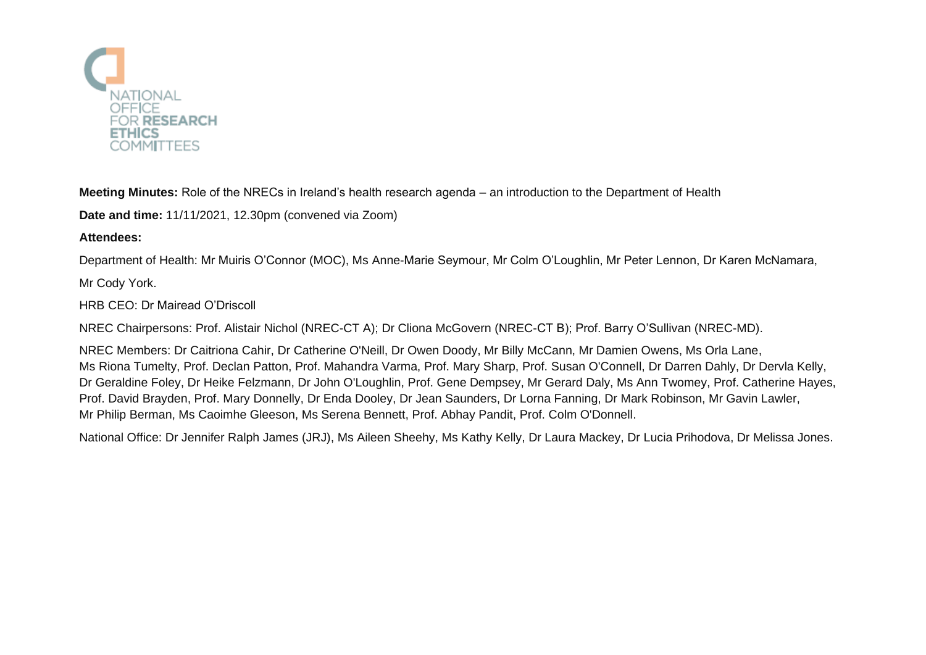

**Meeting Minutes:** Role of the NRECs in Ireland's health research agenda – an introduction to the Department of Health

**Date and time:** 11/11/2021, 12.30pm (convened via Zoom)

## **Attendees:**

Department of Health: Mr Muiris O'Connor (MOC), Ms Anne-Marie Seymour, Mr Colm O'Loughlin, Mr Peter Lennon, Dr Karen McNamara,

Mr Cody York.

## HRB CEO: Dr Mairead O'Driscoll

NREC Chairpersons: Prof. Alistair Nichol (NREC-CT A); Dr Cliona McGovern (NREC-CT B); Prof. Barry O'Sullivan (NREC-MD).

NREC Members: Dr Caitriona Cahir, Dr Catherine O'Neill, Dr Owen Doody, Mr Billy McCann, Mr Damien Owens, Ms Orla Lane, Ms Riona Tumelty, Prof. Declan Patton, Prof. Mahandra Varma, Prof. Mary Sharp, Prof. Susan O'Connell, Dr Darren Dahly, Dr Dervla Kelly, Dr Geraldine Foley, Dr Heike Felzmann, Dr John O'Loughlin, Prof. Gene Dempsey, Mr Gerard Daly, Ms Ann Twomey, Prof. Catherine Hayes, Prof. David Brayden, Prof. Mary Donnelly, Dr Enda Dooley, Dr Jean Saunders, Dr Lorna Fanning, Dr Mark Robinson, Mr Gavin Lawler, Mr Philip Berman, Ms Caoimhe Gleeson, Ms Serena Bennett, Prof. Abhay Pandit, Prof. Colm O'Donnell.

National Office: Dr Jennifer Ralph James (JRJ), Ms Aileen Sheehy, Ms Kathy Kelly, Dr Laura Mackey, Dr Lucia Prihodova, Dr Melissa Jones.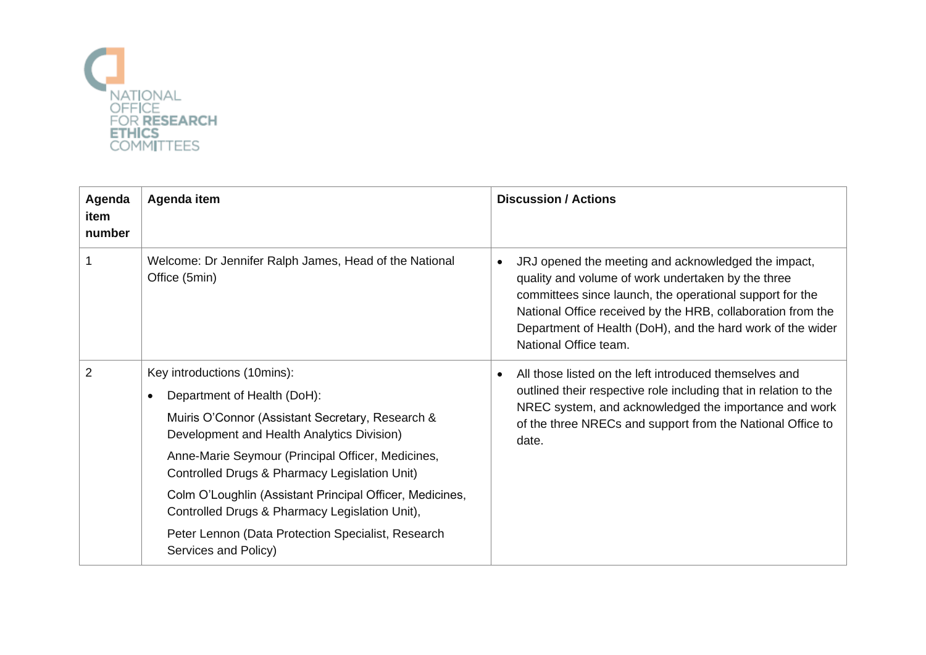

| Agenda<br>item<br>number | Agenda item                                                                                                                                                                                                                                                                                                                                                                                                                            | <b>Discussion / Actions</b>                                                                                                                                                                                                                                                                                                              |
|--------------------------|----------------------------------------------------------------------------------------------------------------------------------------------------------------------------------------------------------------------------------------------------------------------------------------------------------------------------------------------------------------------------------------------------------------------------------------|------------------------------------------------------------------------------------------------------------------------------------------------------------------------------------------------------------------------------------------------------------------------------------------------------------------------------------------|
|                          | Welcome: Dr Jennifer Ralph James, Head of the National<br>Office (5min)                                                                                                                                                                                                                                                                                                                                                                | JRJ opened the meeting and acknowledged the impact,<br>$\bullet$<br>quality and volume of work undertaken by the three<br>committees since launch, the operational support for the<br>National Office received by the HRB, collaboration from the<br>Department of Health (DoH), and the hard work of the wider<br>National Office team. |
| $\overline{2}$           | Key introductions (10mins):<br>Department of Health (DoH):<br>Muiris O'Connor (Assistant Secretary, Research &<br>Development and Health Analytics Division)<br>Anne-Marie Seymour (Principal Officer, Medicines,<br>Controlled Drugs & Pharmacy Legislation Unit)<br>Colm O'Loughlin (Assistant Principal Officer, Medicines,<br>Controlled Drugs & Pharmacy Legislation Unit),<br>Peter Lennon (Data Protection Specialist, Research | All those listed on the left introduced themselves and<br>outlined their respective role including that in relation to the<br>NREC system, and acknowledged the importance and work<br>of the three NRECs and support from the National Office to<br>date.                                                                               |
|                          | Services and Policy)                                                                                                                                                                                                                                                                                                                                                                                                                   |                                                                                                                                                                                                                                                                                                                                          |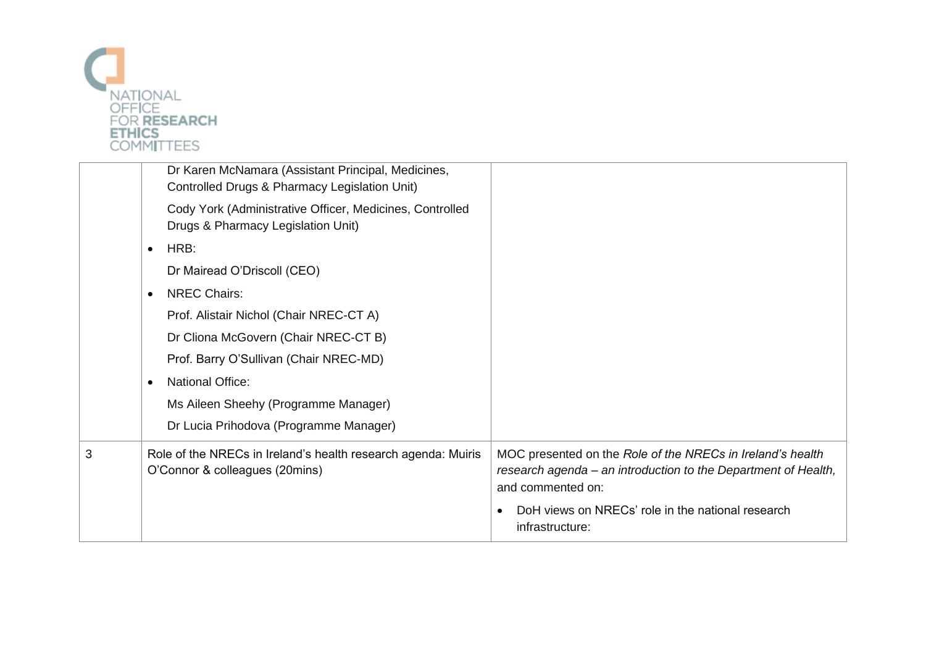

|   | Dr Karen McNamara (Assistant Principal, Medicines,<br>Controlled Drugs & Pharmacy Legislation Unit) |                                                                                                                                                   |
|---|-----------------------------------------------------------------------------------------------------|---------------------------------------------------------------------------------------------------------------------------------------------------|
|   | Cody York (Administrative Officer, Medicines, Controlled<br>Drugs & Pharmacy Legislation Unit)      |                                                                                                                                                   |
|   | HRB:<br>$\bullet$                                                                                   |                                                                                                                                                   |
|   | Dr Mairead O'Driscoll (CEO)                                                                         |                                                                                                                                                   |
|   | <b>NREC Chairs:</b><br>$\bullet$                                                                    |                                                                                                                                                   |
|   | Prof. Alistair Nichol (Chair NREC-CT A)                                                             |                                                                                                                                                   |
|   | Dr Cliona McGovern (Chair NREC-CT B)                                                                |                                                                                                                                                   |
|   | Prof. Barry O'Sullivan (Chair NREC-MD)                                                              |                                                                                                                                                   |
|   | <b>National Office:</b><br>$\bullet$                                                                |                                                                                                                                                   |
|   | Ms Aileen Sheehy (Programme Manager)                                                                |                                                                                                                                                   |
|   | Dr Lucia Prihodova (Programme Manager)                                                              |                                                                                                                                                   |
| 3 | Role of the NRECs in Ireland's health research agenda: Muiris<br>O'Connor & colleagues (20mins)     | MOC presented on the Role of the NRECs in Ireland's health<br>research agenda – an introduction to the Department of Health,<br>and commented on: |
|   |                                                                                                     | DoH views on NRECs' role in the national research<br>infrastructure:                                                                              |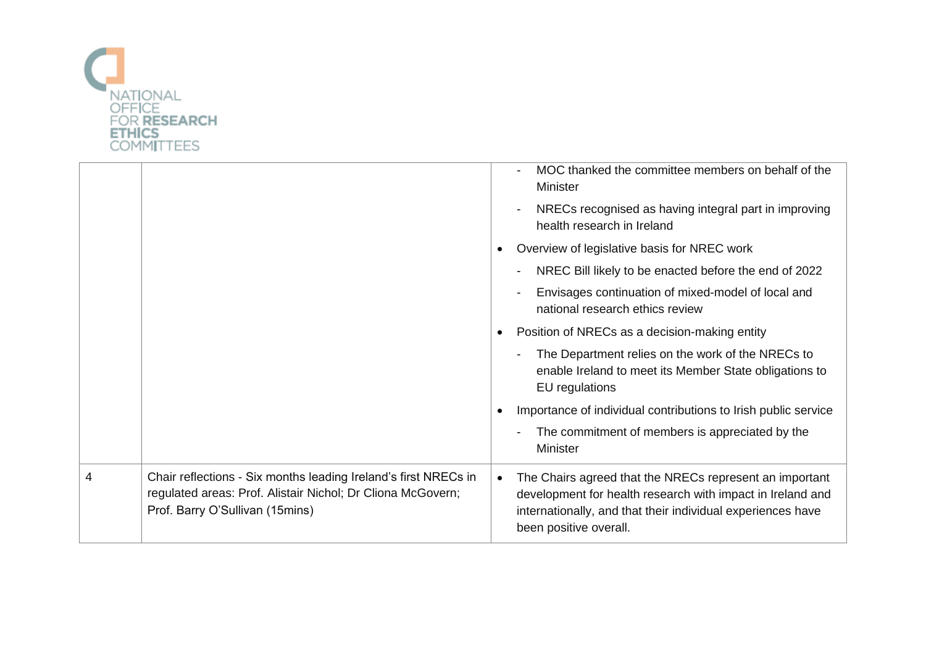

|   |                                                                                                                                                                   |           | MOC thanked the committee members on behalf of the<br>Minister                                                                                                                                                 |
|---|-------------------------------------------------------------------------------------------------------------------------------------------------------------------|-----------|----------------------------------------------------------------------------------------------------------------------------------------------------------------------------------------------------------------|
|   |                                                                                                                                                                   |           | NRECs recognised as having integral part in improving<br>health research in Ireland                                                                                                                            |
|   |                                                                                                                                                                   |           | Overview of legislative basis for NREC work                                                                                                                                                                    |
|   |                                                                                                                                                                   |           | NREC Bill likely to be enacted before the end of 2022                                                                                                                                                          |
|   |                                                                                                                                                                   |           | Envisages continuation of mixed-model of local and<br>national research ethics review                                                                                                                          |
|   |                                                                                                                                                                   |           | Position of NRECs as a decision-making entity                                                                                                                                                                  |
|   |                                                                                                                                                                   |           | The Department relies on the work of the NRECs to<br>enable Ireland to meet its Member State obligations to<br>EU regulations                                                                                  |
|   |                                                                                                                                                                   |           | Importance of individual contributions to Irish public service                                                                                                                                                 |
|   |                                                                                                                                                                   |           | The commitment of members is appreciated by the<br>Minister                                                                                                                                                    |
| 4 | Chair reflections - Six months leading Ireland's first NRECs in<br>regulated areas: Prof. Alistair Nichol; Dr Cliona McGovern;<br>Prof. Barry O'Sullivan (15mins) | $\bullet$ | The Chairs agreed that the NRECs represent an important<br>development for health research with impact in Ireland and<br>internationally, and that their individual experiences have<br>been positive overall. |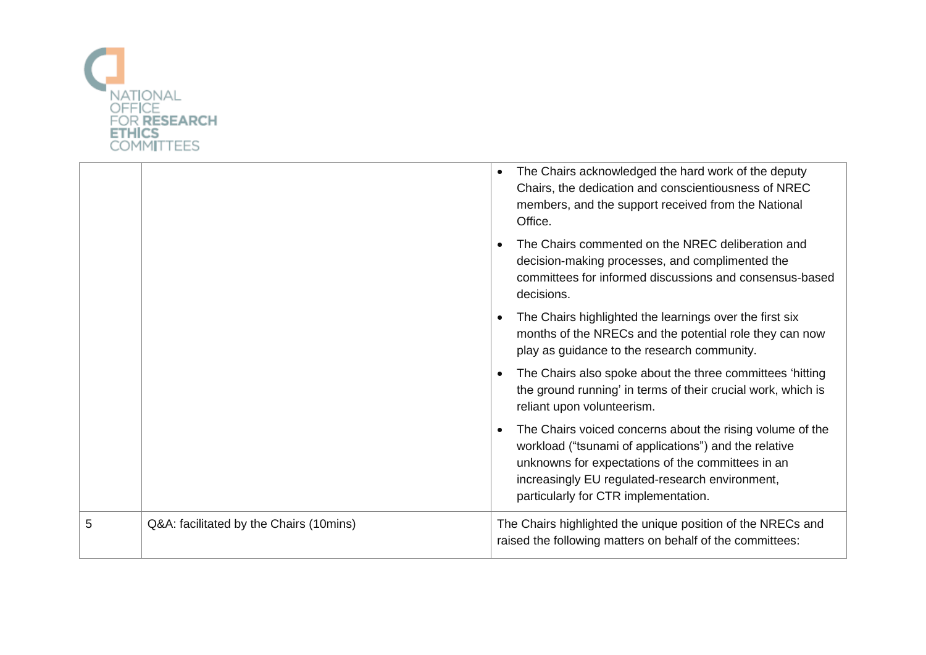

|   |                                         | The Chairs acknowledged the hard work of the deputy<br>Chairs, the dedication and conscientiousness of NREC<br>members, and the support received from the National<br>Office.                                                                                      |
|---|-----------------------------------------|--------------------------------------------------------------------------------------------------------------------------------------------------------------------------------------------------------------------------------------------------------------------|
|   |                                         | The Chairs commented on the NREC deliberation and<br>decision-making processes, and complimented the<br>committees for informed discussions and consensus-based<br>decisions.                                                                                      |
|   |                                         | The Chairs highlighted the learnings over the first six<br>months of the NRECs and the potential role they can now<br>play as guidance to the research community.                                                                                                  |
|   |                                         | The Chairs also spoke about the three committees 'hitting<br>the ground running' in terms of their crucial work, which is<br>reliant upon volunteerism.                                                                                                            |
|   |                                         | The Chairs voiced concerns about the rising volume of the<br>workload ("tsunami of applications") and the relative<br>unknowns for expectations of the committees in an<br>increasingly EU regulated-research environment,<br>particularly for CTR implementation. |
| 5 | Q&A: facilitated by the Chairs (10mins) | The Chairs highlighted the unique position of the NRECs and<br>raised the following matters on behalf of the committees:                                                                                                                                           |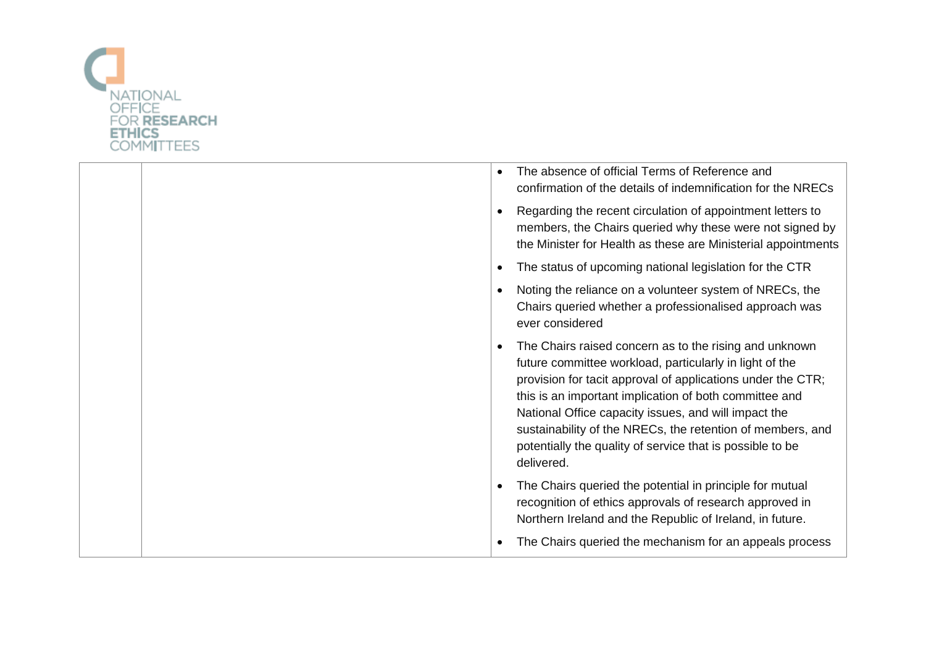

| The absence of official Terms of Reference and<br>confirmation of the details of indemnification for the NRECs                                                                                                                                                                                                                                                                                                                              |
|---------------------------------------------------------------------------------------------------------------------------------------------------------------------------------------------------------------------------------------------------------------------------------------------------------------------------------------------------------------------------------------------------------------------------------------------|
| Regarding the recent circulation of appointment letters to<br>members, the Chairs queried why these were not signed by<br>the Minister for Health as these are Ministerial appointments                                                                                                                                                                                                                                                     |
| The status of upcoming national legislation for the CTR                                                                                                                                                                                                                                                                                                                                                                                     |
| Noting the reliance on a volunteer system of NRECs, the<br>Chairs queried whether a professionalised approach was<br>ever considered                                                                                                                                                                                                                                                                                                        |
| The Chairs raised concern as to the rising and unknown<br>future committee workload, particularly in light of the<br>provision for tacit approval of applications under the CTR;<br>this is an important implication of both committee and<br>National Office capacity issues, and will impact the<br>sustainability of the NRECs, the retention of members, and<br>potentially the quality of service that is possible to be<br>delivered. |
| The Chairs queried the potential in principle for mutual<br>recognition of ethics approvals of research approved in<br>Northern Ireland and the Republic of Ireland, in future.                                                                                                                                                                                                                                                             |
| The Chairs queried the mechanism for an appeals process                                                                                                                                                                                                                                                                                                                                                                                     |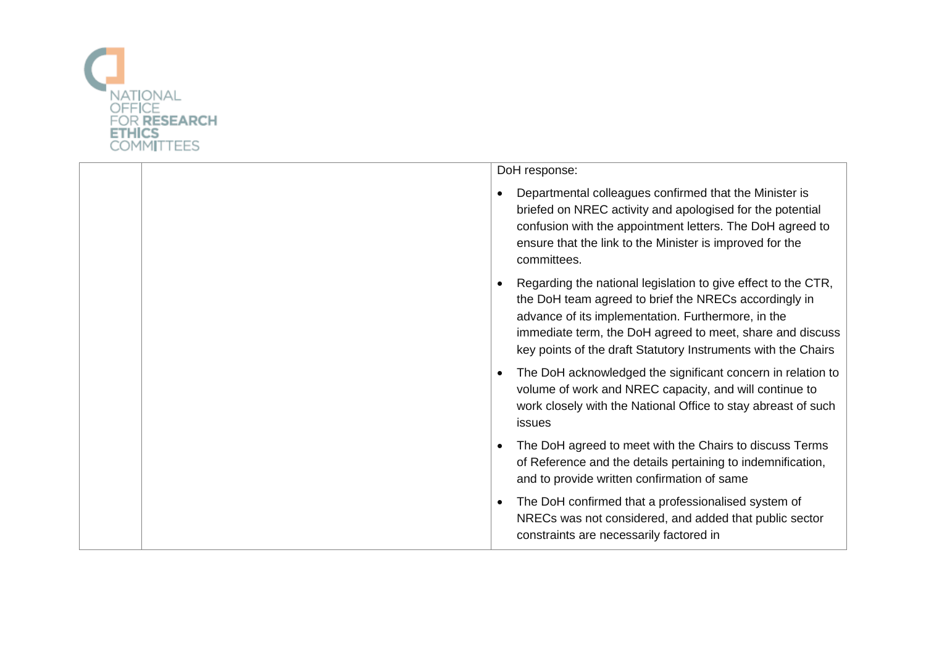

|  | DoH response:                                                                                                                                                                                                                                                                                                           |
|--|-------------------------------------------------------------------------------------------------------------------------------------------------------------------------------------------------------------------------------------------------------------------------------------------------------------------------|
|  | Departmental colleagues confirmed that the Minister is<br>briefed on NREC activity and apologised for the potential<br>confusion with the appointment letters. The DoH agreed to<br>ensure that the link to the Minister is improved for the<br>committees.                                                             |
|  | Regarding the national legislation to give effect to the CTR,<br>$\bullet$<br>the DoH team agreed to brief the NRECs accordingly in<br>advance of its implementation. Furthermore, in the<br>immediate term, the DoH agreed to meet, share and discuss<br>key points of the draft Statutory Instruments with the Chairs |
|  | The DoH acknowledged the significant concern in relation to<br>$\bullet$<br>volume of work and NREC capacity, and will continue to<br>work closely with the National Office to stay abreast of such<br>issues                                                                                                           |
|  | The DoH agreed to meet with the Chairs to discuss Terms<br>$\bullet$<br>of Reference and the details pertaining to indemnification,<br>and to provide written confirmation of same                                                                                                                                      |
|  | The DoH confirmed that a professionalised system of<br>$\bullet$<br>NRECs was not considered, and added that public sector<br>constraints are necessarily factored in                                                                                                                                                   |